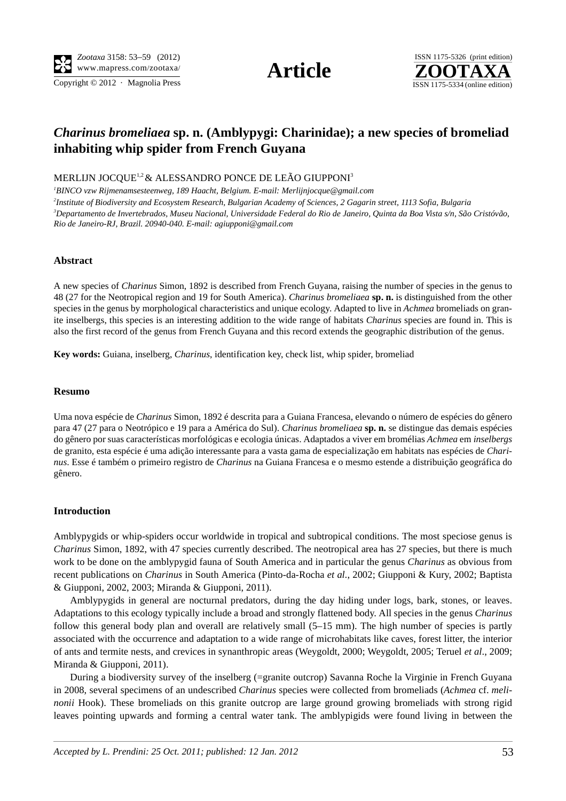*Zootaxa* 3158: 53–59 (2012) www.mapress.com/zootaxa/ **Article**

Copyright  $\odot$  2012 · Magnolia Press ISSN 1175-5334 (online edition)





# *Charinus bromeliaea* **sp. n. (Amblypygi: Charinidae); a new species of bromeliad inhabiting whip spider from French Guyana**

MERLIJN JOCQUE<sup>1,2</sup> & ALESSANDRO PONCE DE LEÃO GIUPPONI<sup>3</sup>

 *BINCO vzw Rijmenamsesteenweg, 189 Haacht, Belgium. E-mail: Merlijnjocque@gmail.com Institute of Biodiversity and Ecosystem Research, Bulgarian Academy of Sciences, 2 Gagarin street, 1113 Sofia, Bulgaria Departamento de Invertebrados, Museu Nacional, Universidade Federal do Rio de Janeiro, Quinta da Boa Vista s/n, São Cristóvão, Rio de Janeiro-RJ, Brazil. 20940-040. E-mail: agiupponi@gmail.com*

## **Abstract**

A new species of *Charinus* Simon, 1892 is described from French Guyana, raising the number of species in the genus to 48 (27 for the Neotropical region and 19 for South America). *Charinus bromeliaea* **sp. n.** is distinguished from the other species in the genus by morphological characteristics and unique ecology. Adapted to live in *Achmea* bromeliads on granite inselbergs, this species is an interesting addition to the wide range of habitats *Charinus* species are found in. This is also the first record of the genus from French Guyana and this record extends the geographic distribution of the genus.

**Key words:** Guiana, inselberg, *Charinus*, identification key, check list, whip spider, bromeliad

## **Resumo**

Uma nova espécie de *Charinus* Simon, 1892 é descrita para a Guiana Francesa, elevando o número de espécies do gênero para 47 (27 para o Neotrópico e 19 para a América do Sul). *Charinus bromeliaea* **sp. n.** se distingue das demais espécies do gênero por suas características morfológicas e ecologia únicas. Adaptados a viver em bromélias *Achmea* em *inselbergs* de granito, esta espécie é uma adição interessante para a vasta gama de especialização em habitats nas espécies de *Charinus*. Esse é também o primeiro registro de *Charinus* na Guiana Francesa e o mesmo estende a distribuição geográfica do gênero.

## **Introduction**

Amblypygids or whip-spiders occur worldwide in tropical and subtropical conditions. The most speciose genus is *Charinus* Simon, 1892, with 47 species currently described. The neotropical area has 27 species, but there is much work to be done on the amblypygid fauna of South America and in particular the genus *Charinus* as obvious from recent publications on *Charinus* in South America (Pinto-da-Rocha *et al.*, 2002; Giupponi & Kury, 2002; Baptista & Giupponi, 2002, 2003; Miranda & Giupponi, 2011).

Amblypygids in general are nocturnal predators, during the day hiding under logs, bark, stones, or leaves. Adaptations to this ecology typically include a broad and strongly flattened body. All species in the genus *Charinus* follow this general body plan and overall are relatively small (5–15 mm). The high number of species is partly associated with the occurrence and adaptation to a wide range of microhabitats like caves, forest litter, the interior of ants and termite nests, and crevices in synanthropic areas (Weygoldt, 2000; Weygoldt, 2005; Teruel *et al*., 2009; Miranda & Giupponi, 2011).

During a biodiversity survey of the inselberg (=granite outcrop) Savanna Roche la Virginie in French Guyana in 2008, several specimens of an undescribed *Charinus* species were collected from bromeliads (*Achmea* cf. *melinonii* Hook). These bromeliads on this granite outcrop are large ground growing bromeliads with strong rigid leaves pointing upwards and forming a central water tank. The amblypigids were found living in between the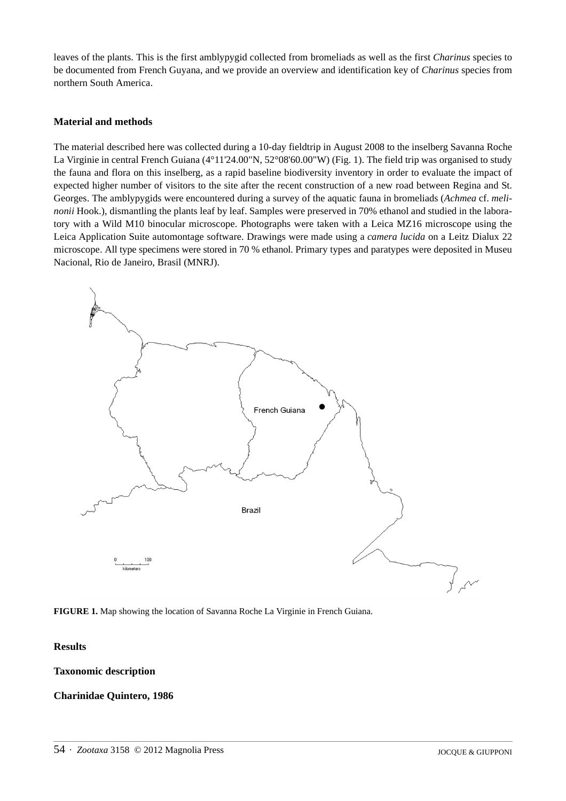leaves of the plants. This is the first amblypygid collected from bromeliads as well as the first *Charinus* species to be documented from French Guyana, and we provide an overview and identification key of *Charinus* species from northern South America.

## **Material and methods**

The material described here was collected during a 10-day fieldtrip in August 2008 to the inselberg Savanna Roche La Virginie in central French Guiana (4°11'24.00"N, 52°08'60.00"W) (Fig. 1). The field trip was organised to study the fauna and flora on this inselberg, as a rapid baseline biodiversity inventory in order to evaluate the impact of expected higher number of visitors to the site after the recent construction of a new road between Regina and St. Georges. The amblypygids were encountered during a survey of the aquatic fauna in bromeliads (*Achmea* cf. *melinonii* Hook.), dismantling the plants leaf by leaf. Samples were preserved in 70% ethanol and studied in the laboratory with a Wild M10 binocular microscope. Photographs were taken with a Leica MZ16 microscope using the Leica Application Suite automontage software. Drawings were made using a *camera lucida* on a Leitz Dialux 22 microscope. All type specimens were stored in 70 % ethanol. Primary types and paratypes were deposited in Museu Nacional, Rio de Janeiro, Brasil (MNRJ).



**FIGURE 1.** Map showing the location of Savanna Roche La Virginie in French Guiana.

## **Results**

## **Taxonomic description**

## **Charinidae Quintero, 1986**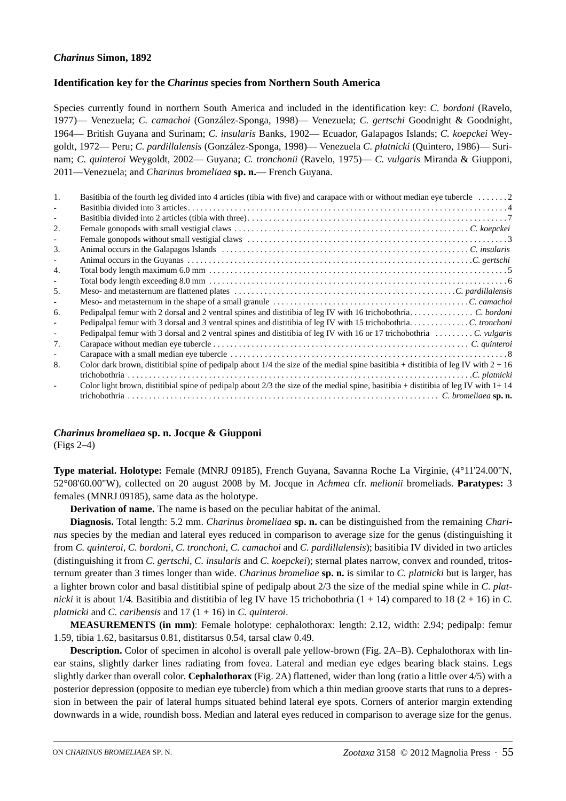# *Charinus* **Simon, 1892**

# **Identification key for the** *Charinus* **species from Northern South America**

Species currently found in northern South America and included in the identification key: *C. bordoni* (Ravelo, 1977)— Venezuela; *C. camachoi* (González-Sponga, 1998)— Venezuela; *C. gertschi* Goodnight & Goodnight, 1964— British Guyana and Surinam; *C. insularis* Banks, 1902— Ecuador, Galapagos Islands; *C. koepckei* Weygoldt, 1972— Peru; *C. pardillalensis* (González-Sponga, 1998)— Venezuela *C. platnicki* (Quintero, 1986)— Surinam; *C. quinteroi* Weygoldt, 2002— Guyana; *C. tronchonii* (Ravelo, 1975)— *C. vulgaris* Miranda & Giupponi, 2011—Venezuela; and *Charinus bromeliaea* **sp. n.**— French Guyana.

| 1.  | Basitibia of the fourth leg divided into 4 articles (tibia with five) and carapace with or without median eye tubercle 2                |
|-----|-----------------------------------------------------------------------------------------------------------------------------------------|
|     |                                                                                                                                         |
|     |                                                                                                                                         |
| 2.  |                                                                                                                                         |
|     |                                                                                                                                         |
| 3.  |                                                                                                                                         |
|     |                                                                                                                                         |
| 4.  |                                                                                                                                         |
|     |                                                                                                                                         |
| .5. |                                                                                                                                         |
|     |                                                                                                                                         |
| 6.  |                                                                                                                                         |
|     | Pedipalpal femur with 3 dorsal and 3 ventral spines and distitibia of leg IV with 15 trichobothriaC. tronchoni                          |
|     | Pedipalpal femur with 3 dorsal and 2 ventral spines and distitibia of leg IV with 16 or 17 trichobothria C. vulgaris                    |
| 7.  |                                                                                                                                         |
|     |                                                                                                                                         |
| 8.  | Color dark brown, distitibial spine of pedipalp about $1/4$ the size of the medial spine basitibia + distitibia of leg IV with $2 + 16$ |
|     |                                                                                                                                         |
|     | Color light brown, distitibial spine of pedipalp about 2/3 the size of the medial spine, basitibia + distitibia of leg IV with $1+14$   |
|     |                                                                                                                                         |

*Charinus bromeliaea* **sp. n. Jocque & Giupponi** (Figs 2–4)

**Type material. Holotype:** Female (MNRJ 09185), French Guyana, Savanna Roche La Virginie, (4°11'24.00"N, 52°08'60.00"W), collected on 20 august 2008 by M. Jocque in *Achmea* cfr. *melionii* bromeliads. **Paratypes:** 3 females (MNRJ 09185), same data as the holotype.

**Derivation of name.** The name is based on the peculiar habitat of the animal.

**Diagnosis.** Total length: 5.2 mm. *Charinus bromeliaea* **sp. n.** can be distinguished from the remaining *Charinus* species by the median and lateral eyes reduced in comparison to average size for the genus (distinguishing it from *C. quinteroi*, *C. bordoni*, *C. tronchoni*, *C. camachoi* and *C. pardillalensis*); basitibia IV divided in two articles (distinguishing it from *C. gertschi, C. insularis* and *C. koepckei*); sternal plates narrow, convex and rounded, tritosternum greater than 3 times longer than wide. *Charinus bromeliae* **sp. n.** is similar to *C. platnicki* but is larger, has a lighter brown color and basal distitibial spine of pedipalp about 2/3 the size of the medial spine while in *C. platnicki* it is about 1/4. Basitibia and distitibia of leg IV have 15 trichobothria  $(1 + 14)$  compared to 18  $(2 + 16)$  in *C*. *platnicki* and *C. caribensis* and 17 (1 + 16) in *C. quinteroi*.

**MEASUREMENTS (in mm)**: Female holotype: cephalothorax: length: 2.12, width: 2.94; pedipalp: femur 1.59, tibia 1.62, basitarsus 0.81, distitarsus 0.54, tarsal claw 0.49.

**Description.** Color of specimen in alcohol is overall pale yellow-brown (Fig. 2A–B). Cephalothorax with linear stains, slightly darker lines radiating from fovea. Lateral and median eye edges bearing black stains. Legs slightly darker than overall color. **Cephalothorax** (Fig. 2A) flattened, wider than long (ratio a little over 4/5) with a posterior depression (opposite to median eye tubercle) from which a thin median groove starts that runs to a depression in between the pair of lateral humps situated behind lateral eye spots. Corners of anterior margin extending downwards in a wide, roundish boss. Median and lateral eyes reduced in comparison to average size for the genus.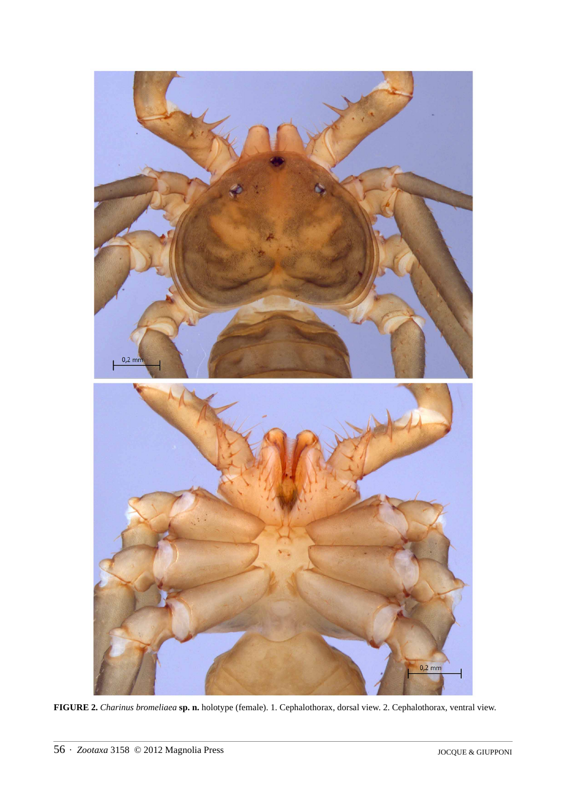

**FIGURE 2.** *Charinus bromeliaea* **sp. n.** holotype (female). 1. Cephalothorax, dorsal view. 2. Cephalothorax, ventral view.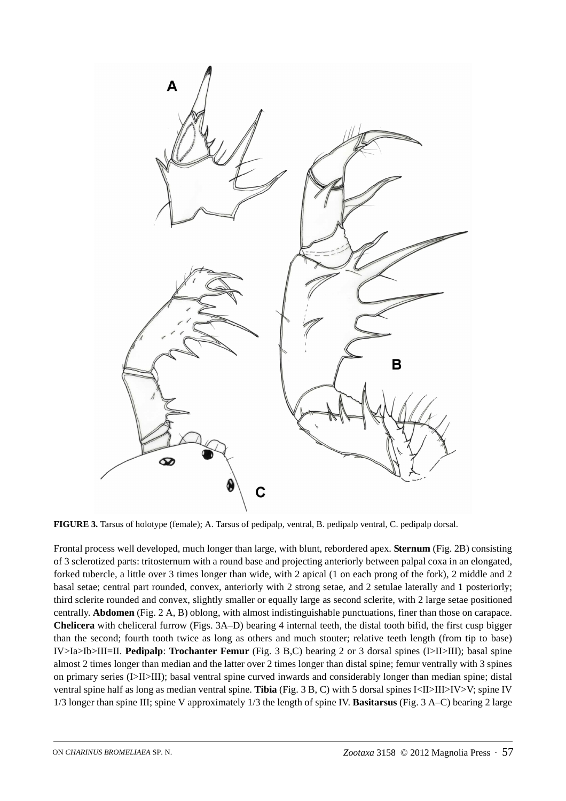

**FIGURE 3.** Tarsus of holotype (female); A. Tarsus of pedipalp, ventral, B. pedipalp ventral, C. pedipalp dorsal.

Frontal process well developed, much longer than large, with blunt, rebordered apex. **Sternum** (Fig. 2B) consisting of 3 sclerotized parts: tritosternum with a round base and projecting anteriorly between palpal coxa in an elongated, forked tubercle, a little over 3 times longer than wide, with 2 apical (1 on each prong of the fork), 2 middle and 2 basal setae; central part rounded, convex, anteriorly with 2 strong setae, and 2 setulae laterally and 1 posteriorly; third sclerite rounded and convex, slightly smaller or equally large as second sclerite, with 2 large setae positioned centrally. **Abdomen** (Fig. 2 A, B) oblong, with almost indistinguishable punctuations, finer than those on carapace. **Chelicera** with cheliceral furrow (Figs. 3A–D) bearing 4 internal teeth, the distal tooth bifid, the first cusp bigger than the second; fourth tooth twice as long as others and much stouter; relative teeth length (from tip to base) IV>Ia>Ib>III=II. **Pedipalp**: **Trochanter Femur** (Fig. 3 B,C) bearing 2 or 3 dorsal spines (I>II>III); basal spine almost 2 times longer than median and the latter over 2 times longer than distal spine; femur ventrally with 3 spines on primary series (I>II>III); basal ventral spine curved inwards and considerably longer than median spine; distal ventral spine half as long as median ventral spine. **Tibia** (Fig. 3 B, C) with 5 dorsal spines I<II>III>IV>V; spine IV 1/3 longer than spine III; spine V approximately 1/3 the length of spine IV. **Basitarsus** (Fig. 3 A–C) bearing 2 large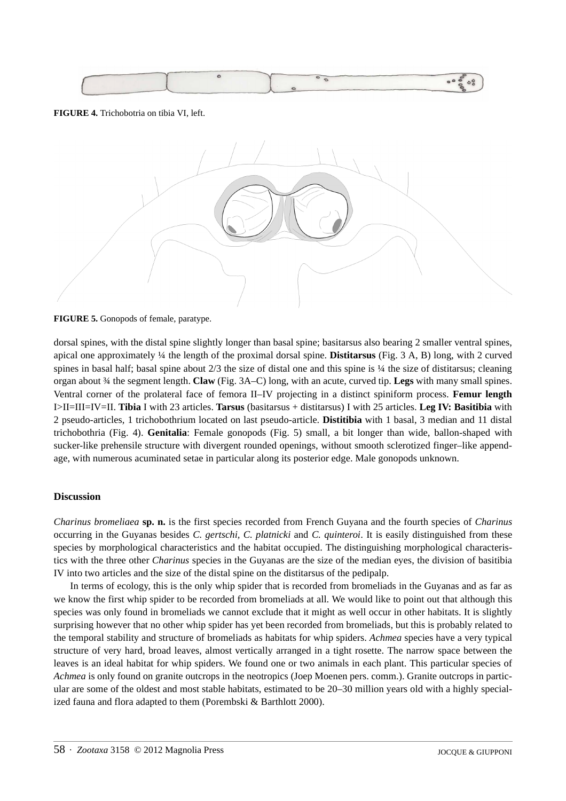

## **FIGURE 4.** Trichobotria on tibia VI, left.



**FIGURE 5.** Gonopods of female, paratype.

dorsal spines, with the distal spine slightly longer than basal spine; basitarsus also bearing 2 smaller ventral spines, apical one approximately ¼ the length of the proximal dorsal spine. **Distitarsus** (Fig. 3 A, B) long, with 2 curved spines in basal half; basal spine about  $2/3$  the size of distal one and this spine is  $\frac{1}{4}$  the size of distitarsus; cleaning organ about ¾ the segment length. **Claw** (Fig. 3A–C) long, with an acute, curved tip. **Legs** with many small spines. Ventral corner of the prolateral face of femora II–IV projecting in a distinct spiniform process. **Femur length** I>II=III=IV=II. **Tibia** I with 23 articles. **Tarsus** (basitarsus + distitarsus) I with 25 articles. **Leg IV: Basitibia** with 2 pseudo-articles, 1 trichobothrium located on last pseudo-article. **Distitibia** with 1 basal, 3 median and 11 distal trichobothria (Fig. 4). **Genitalia**: Female gonopods (Fig. 5) small, a bit longer than wide, ballon-shaped with sucker-like prehensile structure with divergent rounded openings, without smooth sclerotized finger–like appendage, with numerous acuminated setae in particular along its posterior edge. Male gonopods unknown.

## **Discussion**

*Charinus bromeliaea* **sp. n.** is the first species recorded from French Guyana and the fourth species of *Charinus* occurring in the Guyanas besides *C. gertschi, C. platnicki* and *C. quinteroi*. It is easily distinguished from these species by morphological characteristics and the habitat occupied. The distinguishing morphological characteristics with the three other *Charinus* species in the Guyanas are the size of the median eyes, the division of basitibia IV into two articles and the size of the distal spine on the distitarsus of the pedipalp.

In terms of ecology, this is the only whip spider that is recorded from bromeliads in the Guyanas and as far as we know the first whip spider to be recorded from bromeliads at all. We would like to point out that although this species was only found in bromeliads we cannot exclude that it might as well occur in other habitats. It is slightly surprising however that no other whip spider has yet been recorded from bromeliads, but this is probably related to the temporal stability and structure of bromeliads as habitats for whip spiders. *Achmea* species have a very typical structure of very hard, broad leaves, almost vertically arranged in a tight rosette. The narrow space between the leaves is an ideal habitat for whip spiders. We found one or two animals in each plant. This particular species of *Achmea* is only found on granite outcrops in the neotropics (Joep Moenen pers. comm.). Granite outcrops in particular are some of the oldest and most stable habitats, estimated to be 20–30 million years old with a highly specialized fauna and flora adapted to them (Porembski & Barthlott 2000).